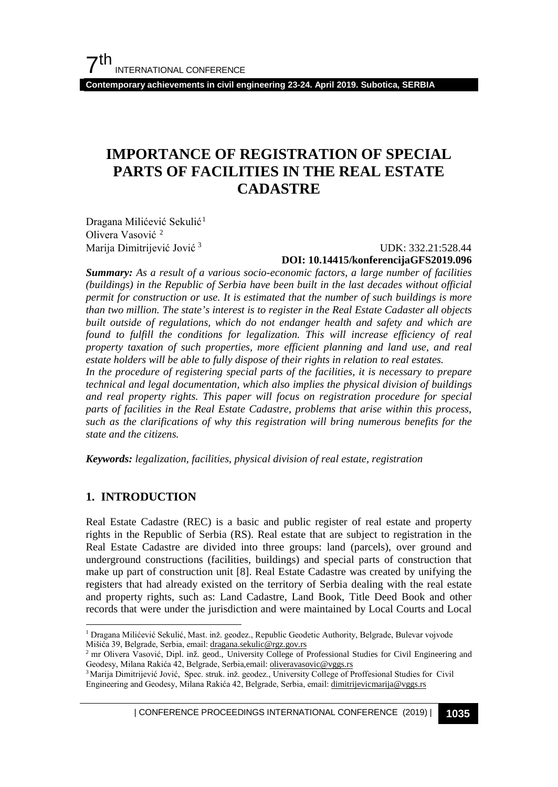**Contemporary achievements in civil engineering 23-24. April 2019. Subotica, SERBIA**

## **IMPORTANCE OF REGISTRATION OF SPECIAL PARTS OF FACILITIES IN THE REAL ESTATE CADASTRE**

Dragana Milićević Sekulić<sup>[1](#page-0-0)</sup> Olivera Vasović<sup>[2](#page-0-1)</sup> Marija Dimitrijević Jović [3](#page-0-2)

 UDK: 332.21:528.44 **DOI: 10.14415/konferencijaGFS2019.096**

*Summary: As a result of a various socio-economic factors, a large number of facilities (buildings) in the Republic of Serbia have been built in the last decades without official permit for construction or use. It is estimated that the number of such buildings is more than two million. The state's interest is to register in the Real Estate Cadaster all objects built outside of regulations, which do not endanger health and safety and which are found to fulfill the conditions for legalization. This will increase efficiency of real property taxation of such properties, more efficient planning and land use, and real estate holders will be able to fully dispose of their rights in relation to real estates. In the procedure of registering special parts of the facilities, it is necessary to prepare technical and legal documentation, which also implies the physical division of buildings and real property rights. This paper will focus on registration procedure for special parts of facilities in the Real Estate Cadastre, problems that arise within this process,* 

*such as the clarifications of why this registration will bring numerous benefits for the* 

*Keywords: legalization, facilities, physical division of real estate, registration*

### **1. INTRODUCTION**

*state and the citizens.*

Real Estate Cadastre (REC) is a basic and public register of real estate and property rights in the Republic of Serbia (RS). Real estate that are subject to registration in the Real Estate Cadastre are divided into three groups: land (parcels), over ground and underground constructions (facilities, buildings) and special parts of construction that make up part of construction unit [8]. Real Estate Cadastre was created by unifying the registers that had already existed on the territory of Serbia dealing with the real estate and property rights, such as: Land Cadastre, Land Book, Title Deed Book and other records that were under the jurisdiction and were maintained by Local Courts and Local

| CONFERENCE PROCEEDINGS INTERNATIONAL CONFERENCE (2019) <sup>|</sup>**1035**

<span id="page-0-0"></span> <sup>1</sup> Dragana Milićević Sekulić, Mast. inž. geodez., Republic Geodetic Authority, Belgrade, Bulevar vojvode Mišića 39, Belgrade, Serbia, email: dragana.sekulic@rgz.gov.rs<br><sup>2</sup> mr Olivera Vasović, Dipl. inž. geod., University College of Professional Studies for Civil Engineering and

<span id="page-0-1"></span>Geodesy, Milana Rakića 42, Belgrade, Serbia,email[: oliveravasovic@vggs.rs](mailto:oliveravasovic@vggs.rs)

<span id="page-0-2"></span><sup>3</sup> Marija Dimitrijević Jović, Spec. struk. inž. geodez., University College of Proffesional Studies for Civil Engineering and Geodesy, Milana Rakića 42, Belgrade, Serbia, email: [dimitrijevicmarija@vggs.rs](mailto:dimitrijevicmarija@vggs.rs)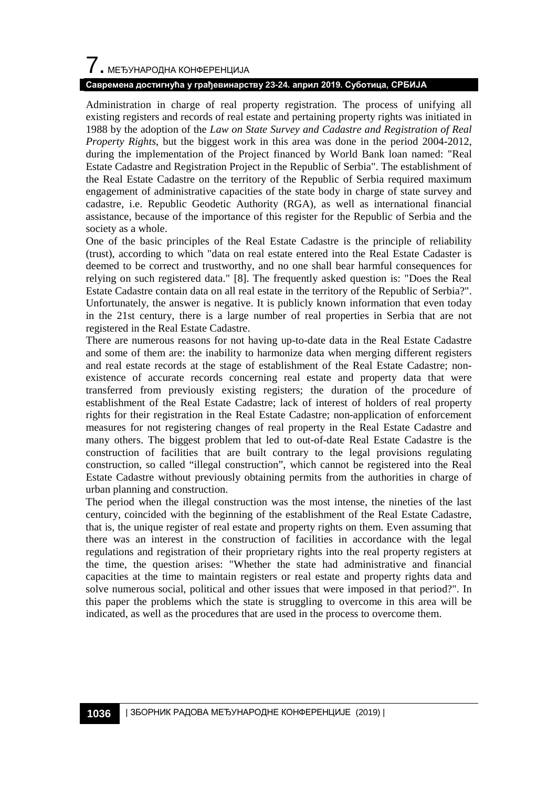# $\overline{\phantom{a}}$ . МЕЂУНАРОДНА КОНФЕРЕНЦИЈА

#### **Савремена достигнућа у грађевинарству 23-24. април 2019. Суботица, СРБИЈА**

Administration in charge of real property registration. The process of unifying all existing registers and records of real estate and pertaining property rights was initiated in 1988 by the adoption of the *Law on State Survey and Cadastre and Registration of Real Property Rights*, but the biggest work in this area was done in the period 2004-2012, during the implementation of the Project financed by World Bank loan named: "Real Estate Cadastre and Registration Project in the Republic of Serbia". The establishment of the Real Estate Cadastre on the territory of the Republic of Serbia required maximum engagement of administrative capacities of the state body in charge of state survey and cadastre, i.e. Republic Geodetic Authority (RGA), as well as international financial assistance, because of the importance of this register for the Republic of Serbia and the society as a whole.

One of the basic principles of the Real Estate Cadastre is the principle of reliability (trust), according to which "data on real estate entered into the Real Estate Cadaster is deemed to be correct and trustworthy, and no one shall bear harmful consequences for relying on such registered data." [8]. The frequently asked question is: "Does the Real Estate Cadastre contain data on all real estate in the territory of the Republic of Serbia?". Unfortunately, the answer is negative. It is publicly known information that even today in the 21st century, there is a large number of real properties in Serbia that are not registered in the Real Estate Cadastre.

There are numerous reasons for not having up-to-date data in the Real Estate Cadastre and some of them are: the inability to harmonize data when merging different registers and real estate records at the stage of establishment of the Real Estate Cadastre; nonexistence of accurate records concerning real estate and property data that were transferred from previously existing registers; the duration of the procedure of establishment of the Real Estate Cadastre; lack of interest of holders of real property rights for their registration in the Real Estate Cadastre; non-application of enforcement measures for not registering changes of real property in the Real Estate Cadastre and many others. The biggest problem that led to out-of-date Real Estate Cadastre is the construction of facilities that are built contrary to the legal provisions regulating construction, so called "illegal construction", which cannot be registered into the Real Estate Cadastre without previously obtaining permits from the authorities in charge of urban planning and construction.

The period when the illegal construction was the most intense, the nineties of the last century, coincided with the beginning of the establishment of the Real Estate Cadastre, that is, the unique register of real estate and property rights on them. Even assuming that there was an interest in the construction of facilities in accordance with the legal regulations and registration of their proprietary rights into the real property registers at the time, the question arises: "Whether the state had administrative and financial capacities at the time to maintain registers or real estate and property rights data and solve numerous social, political and other issues that were imposed in that period?". In this paper the problems which the state is struggling to overcome in this area will be indicated, as well as the procedures that are used in the process to overcome them.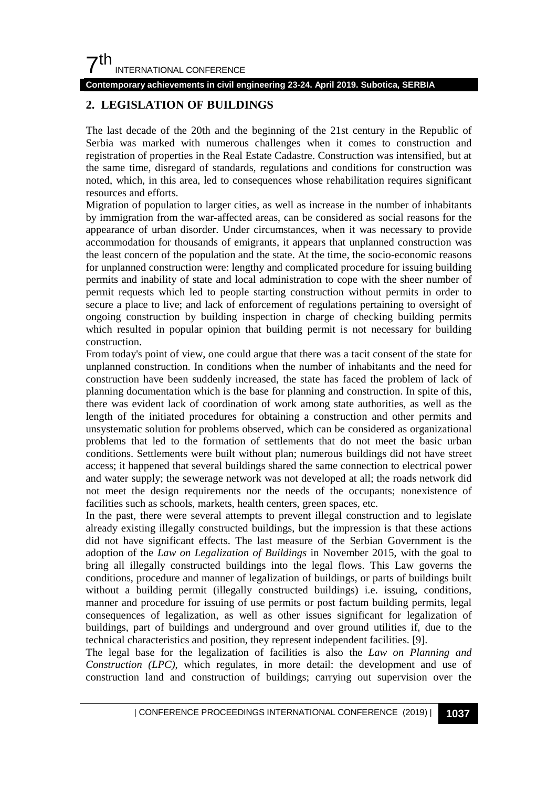**Contemporary achievements in civil engineering 23-24. April 2019. Subotica, SERBIA**

## **2. LEGISLATION OF BUILDINGS**

The last decade of the 20th and the beginning of the 21st century in the Republic of Serbia was marked with numerous challenges when it comes to construction and registration of properties in the Real Estate Cadastre. Construction was intensified, but at the same time, disregard of standards, regulations and conditions for construction was noted, which, in this area, led to consequences whose rehabilitation requires significant resources and efforts.

Migration of population to larger cities, as well as increase in the number of inhabitants by immigration from the war-affected areas, can be considered as social reasons for the appearance of urban disorder. Under circumstances, when it was necessary to provide accommodation for thousands of emigrants, it appears that unplanned construction was the least concern of the population and the state. At the time, the socio-economic reasons for unplanned construction were: lengthy and complicated procedure for issuing building permits and inability of state and local administration to cope with the sheer number of permit requests which led to people starting construction without permits in order to secure a place to live; and lack of enforcement of regulations pertaining to oversight of ongoing construction by building inspection in charge of checking building permits which resulted in popular opinion that building permit is not necessary for building construction.

From today's point of view, one could argue that there was a tacit consent of the state for unplanned construction. In conditions when the number of inhabitants and the need for construction have been suddenly increased, the state has faced the problem of lack of planning documentation which is the base for planning and construction. In spite of this, there was evident lack of coordination of work among state authorities, as well as the length of the initiated procedures for obtaining a construction and other permits and unsystematic solution for problems observed, which can be considered as organizational problems that led to the formation of settlements that do not meet the basic urban conditions. Settlements were built without plan; numerous buildings did not have street access; it happened that several buildings shared the same connection to electrical power and water supply; the sewerage network was not developed at all; the roads network did not meet the design requirements nor the needs of the occupants; nonexistence of facilities such as schools, markets, health centers, green spaces, etc.

In the past, there were several attempts to prevent illegal construction and to legislate already existing illegally constructed buildings, but the impression is that these actions did not have significant effects. The last measure of the Serbian Government is the adoption of the *Law on Legalization of Buildings* in November 2015, with the goal to bring all illegally constructed buildings into the legal flows. This Law governs the conditions, procedure and manner of legalization of buildings, or parts of buildings built without a building permit (illegally constructed buildings) i.e. issuing, conditions, manner and procedure for issuing of use permits or post factum building permits, legal consequences of legalization, as well as other issues significant for legalization of buildings, part of buildings and underground and over ground utilities if, due to the technical characteristics and position, they represent independent facilities. [9].

The legal base for the legalization of facilities is also the *Law on Planning and Construction (LPC)*, which regulates, in more detail: the development and use of construction land and construction of buildings; carrying out supervision over the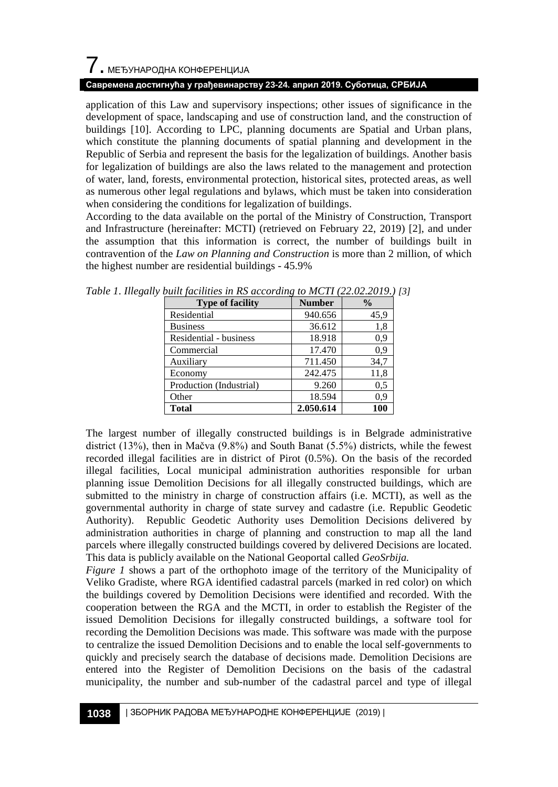# $\overline{\phantom{a}}$ . МЕЂУНАРОДНА КОНФЕРЕНЦИЈА

#### **Савремена достигнућа у грађевинарству 23-24. април 2019. Суботица, СРБИЈА**

application of this Law and supervisory inspections; other issues of significance in the development of space, landscaping and use of construction land, and the construction of buildings [10]. According to LPC, planning documents are Spatial and Urban plans, which constitute the planning documents of spatial planning and development in the Republic of Serbia and represent the basis for the legalization of buildings. Another basis for legalization of buildings are also the laws related to the management and protection of water, land, forests, environmental protection, historical sites, protected areas, as well as numerous other legal regulations and bylaws, which must be taken into consideration when considering the conditions for legalization of buildings.

According to the data available on the portal of the Ministry of Construction, Transport and Infrastructure (hereinafter: MCTI) (retrieved on February 22, 2019) [2], and under the assumption that this information is correct, the number of buildings built in contravention of the *Law on Planning and Construction* is more than 2 million, of which the highest number are residential buildings - 45.9%

| <b>Type of facility</b> | <b>Number</b> | $\frac{0}{0}$ |  |
|-------------------------|---------------|---------------|--|
| Residential             | 940.656       | 45.9          |  |
| <b>Business</b>         | 36.612        | 1,8           |  |
| Residential - business  | 18.918        | 0.9           |  |
| Commercial              | 17.470        | 0.9           |  |
| Auxiliary               | 711.450       | 34,7          |  |
| Economy                 | 242.475       | 11,8          |  |
| Production (Industrial) | 9.260         | 0.5           |  |
| Other                   | 18.594        | 0.9           |  |
| <b>Total</b>            | 2.050.614     | 100           |  |

*Table 1*. *Illegally built facilities in RS according to MCTI (22.02.2019.) [3]*

The largest number of illegally constructed buildings is in Belgrade administrative district (13%), then in Mačva (9.8%) and South Banat (5.5%) districts, while the fewest recorded illegal facilities are in district of Pirot (0.5%). On the basis of the recorded illegal facilities, Local municipal administration authorities responsible for urban planning issue Demolition Decisions for all illegally constructed buildings, which are submitted to the ministry in charge of construction affairs (i.e. MCTI), as well as the governmental authority in charge of state survey and cadastre (i.e. Republic Geodetic Authority). Republic Geodetic Authority uses Demolition Decisions delivered by administration authorities in charge of planning and construction to map all the land parcels where illegally constructed buildings covered by delivered Decisions are located. This data is publicly available on the National Geoportal called *GeoSrbija.*

*Figure 1* shows a part of the orthophoto image of the territory of the Municipality of Veliko Gradiste, where RGA identified cadastral parcels (marked in red color) on which the buildings covered by Demolition Decisions were identified and recorded. With the cooperation between the RGA and the MCTI, in order to establish the Register of the issued Demolition Decisions for illegally constructed buildings, a software tool for recording the Demolition Decisions was made. This software was made with the purpose to centralize the issued Demolition Decisions and to enable the local self-governments to quickly and precisely search the database of decisions made. Demolition Decisions are entered into the Register of Demolition Decisions on the basis of the cadastral municipality, the number and sub-number of the cadastral parcel and type of illegal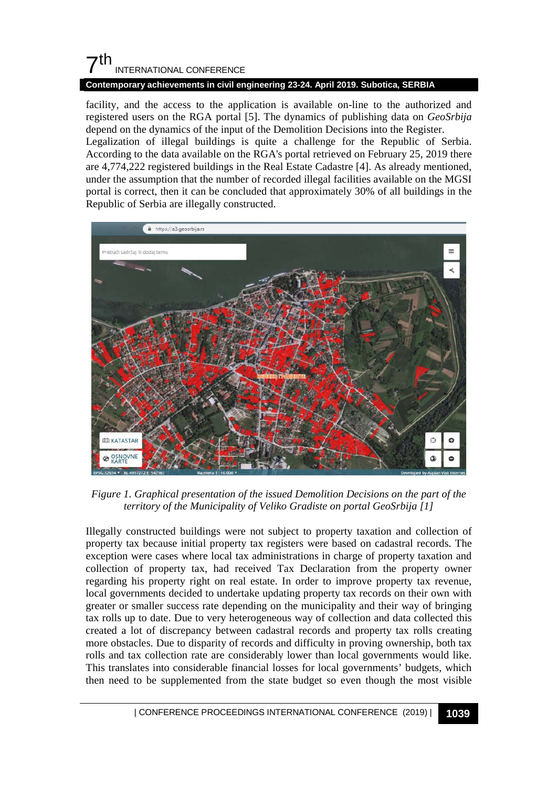#### **Contemporary achievements in civil engineering 23-24. April 2019. Subotica, SERBIA**

facility, and the access to the application is available on-line to the authorized and registered users on the RGA portal [5]. The dynamics of publishing data on *GeoSrbija* depend on the dynamics of the input of the Demolition Decisions into the Register. Legalization of illegal buildings is quite a challenge for the Republic of Serbia. According to the data available on the RGA's portal retrieved on February 25, 2019 there are 4,774,222 registered buildings in the Real Estate Cadastre [4]. As already mentioned, under the assumption that the number of recorded illegal facilities available on the MGSI portal is correct, then it can be concluded that approximately 30% of all buildings in the Republic of Serbia are illegally constructed.



*Figure 1. Graphical presentation of the issued Demolition Decisions on the part of the territory of the Municipality of Veliko Gradiste on portal GeoSrbija [1]*

Illegally constructed buildings were not subject to property taxation and collection of property tax because initial property tax registers were based on cadastral records. The exception were cases where local tax administrations in charge of property taxation and collection of property tax, had received Tax Declaration from the property owner regarding his property right on real estate. In order to improve property tax revenue, local governments decided to undertake updating property tax records on their own with greater or smaller success rate depending on the municipality and their way of bringing tax rolls up to date. Due to very heterogeneous way of collection and data collected this created a lot of discrepancy between cadastral records and property tax rolls creating more obstacles. Due to disparity of records and difficulty in proving ownership, both tax rolls and tax collection rate are considerably lower than local governments would like. This translates into considerable financial losses for local governments' budgets, which then need to be supplemented from the state budget so even though the most visible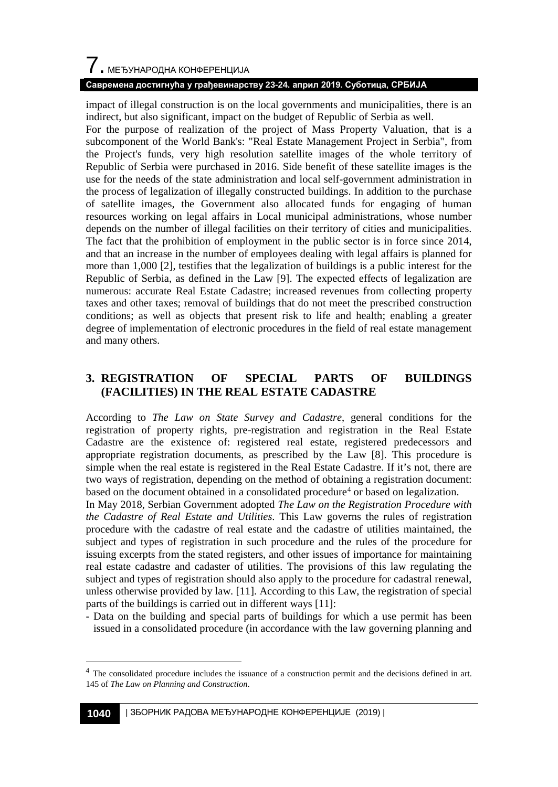# $\overline{\phantom{a}}$ . МЕЂУНАРОДНА КОНФЕРЕНЦИЈА

### **Савремена достигнућа у грађевинарству 23-24. април 2019. Суботица, СРБИЈА**

impact of illegal construction is on the local governments and municipalities, there is an indirect, but also significant, impact on the budget of Republic of Serbia as well.

For the purpose of realization of the project of Mass Property Valuation, that is a subcomponent of the World Bank's: "Real Estate Management Project in Serbia", from the Project's funds, very high resolution satellite images of the whole territory of Republic of Serbia were purchased in 2016. Side benefit of these satellite images is the use for the needs of the state administration and local self-government administration in the process of legalization of illegally constructed buildings. In addition to the purchase of satellite images, the Government also allocated funds for engaging of human resources working on legal affairs in Local municipal administrations, whose number depends on the number of illegal facilities on their territory of cities and municipalities. The fact that the prohibition of employment in the public sector is in force since 2014, and that an increase in the number of employees dealing with legal affairs is planned for more than 1,000 [2], testifies that the legalization of buildings is a public interest for the Republic of Serbia, as defined in the Law [9]. The expected effects of legalization are numerous: accurate Real Estate Cadastre; increased revenues from collecting property taxes and other taxes; removal of buildings that do not meet the prescribed construction conditions; as well as objects that present risk to life and health; enabling a greater degree of implementation of electronic procedures in the field of real estate management and many others.

## **3. REGISTRATION OF SPECIAL PARTS OF BUILDINGS (FACILITIES) IN THE REAL ESTATE CADASTRE**

According to *The Law on State Survey and Cadastre*, general conditions for the registration of property rights, pre-registration and registration in the Real Estate Cadastre are the existence of: registered real estate, registered predecessors and appropriate registration documents, as prescribed by the Law [8]. This procedure is simple when the real estate is registered in the Real Estate Cadastre. If it's not, there are two ways of registration, depending on the method of obtaining a registration document: based on the document obtained in a consolidated procedure<sup>4</sup> or based on legalization.

In May 2018, Serbian Government adopted *The Law on the Registration Procedure with the Cadastre of Real Estate and Utilities*. This Law governs the rules of registration procedure with the cadastre of real estate and the cadastre of utilities maintained, the subject and types of registration in such procedure and the rules of the procedure for issuing excerpts from the stated registers, and other issues of importance for maintaining real estate cadastre and cadaster of utilities. The provisions of this law regulating the subject and types of registration should also apply to the procedure for cadastral renewal, unless otherwise provided by law. [11]. According to this Law, the registration of special parts of the buildings is carried out in different ways [11]:

- Data on the building and special parts of buildings for which a use permit has been issued in a consolidated procedure (in accordance with the law governing planning and

<span id="page-5-0"></span><sup>&</sup>lt;sup>4</sup> The consolidated procedure includes the issuance of a construction permit and the decisions defined in art. 145 of *The Law on Planning and Construction*.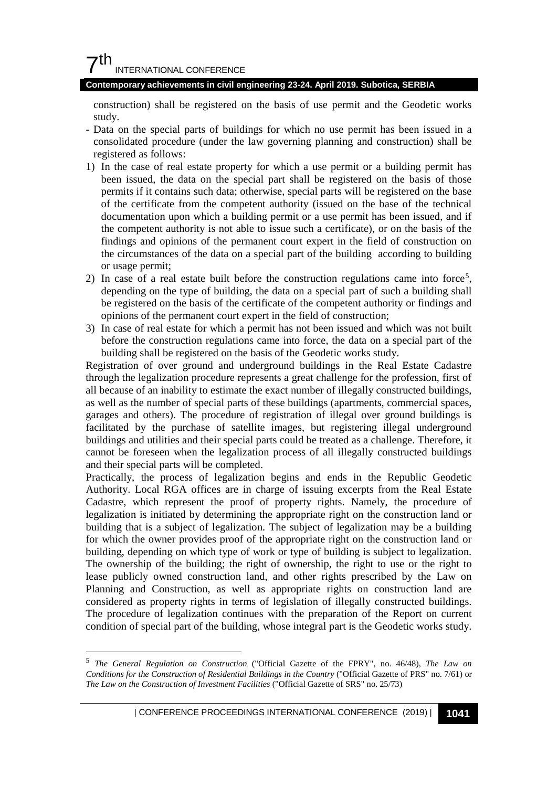#### **Contemporary achievements in civil engineering 23-24. April 2019. Subotica, SERBIA**

construction) shall be registered on the basis of use permit and the Geodetic works study.

- Data on the special parts of buildings for which no use permit has been issued in a consolidated procedure (under the law governing planning and construction) shall be registered as follows:
- 1) In the case of real estate property for which a use permit or a building permit has been issued, the data on the special part shall be registered on the basis of those permits if it contains such data; otherwise, special parts will be registered on the base of the certificate from the competent authority (issued on the base of the technical documentation upon which a building permit or a use permit has been issued, and if the competent authority is not able to issue such a certificate), or on the basis of the findings and opinions of the permanent court expert in the field of construction on the circumstances of the data on a special part of the building according to building or usage permit;
- 2) In case of a real estate built before the construction regulations came into force<sup>[5](#page-6-0)</sup>, depending on the type of building, the data on a special part of such a building shall be registered on the basis of the certificate of the competent authority or findings and opinions of the permanent court expert in the field of construction;
- 3) In case of real estate for which a permit has not been issued and which was not built before the construction regulations came into force, the data on a special part of the building shall be registered on the basis of the Geodetic works study.

Registration of over ground and underground buildings in the Real Estate Cadastre through the legalization procedure represents a great challenge for the profession, first of all because of an inability to estimate the exact number of illegally constructed buildings, as well as the number of special parts of these buildings (apartments, commercial spaces, garages and others). The procedure of registration of illegal over ground buildings is facilitated by the purchase of satellite images, but registering illegal underground buildings and utilities and their special parts could be treated as a challenge. Therefore, it cannot be foreseen when the legalization process of all illegally constructed buildings and their special parts will be completed.

Practically, the process of legalization begins and ends in the Republic Geodetic Authority. Local RGA offices are in charge of issuing excerpts from the Real Estate Cadastre, which represent the proof of property rights. Namely, the procedure of legalization is initiated by determining the appropriate right on the construction land or building that is a subject of legalization. The subject of legalization may be a building for which the owner provides proof of the appropriate right on the construction land or building, depending on which type of work or type of building is subject to legalization. The ownership of the building; the right of ownership, the right to use or the right to lease publicly owned construction land, and other rights prescribed by the Law on Planning and Construction, as well as appropriate rights on construction land are considered as property rights in terms of legislation of illegally constructed buildings. The procedure of legalization continues with the preparation of the Report on current condition of special part of the building, whose integral part is the Geodetic works study.

<span id="page-6-0"></span> <sup>5</sup> *The General Regulation on Construction* ("Official Gazette of the FPRY", no. 46/48), *The Law on Conditions for the Construction of Residential Buildings in the Country* ("Official Gazette of PRS" no. 7/61) or *The Law on the Construction of Investment Facilities* ("Official Gazette of SRS" no. 25/73)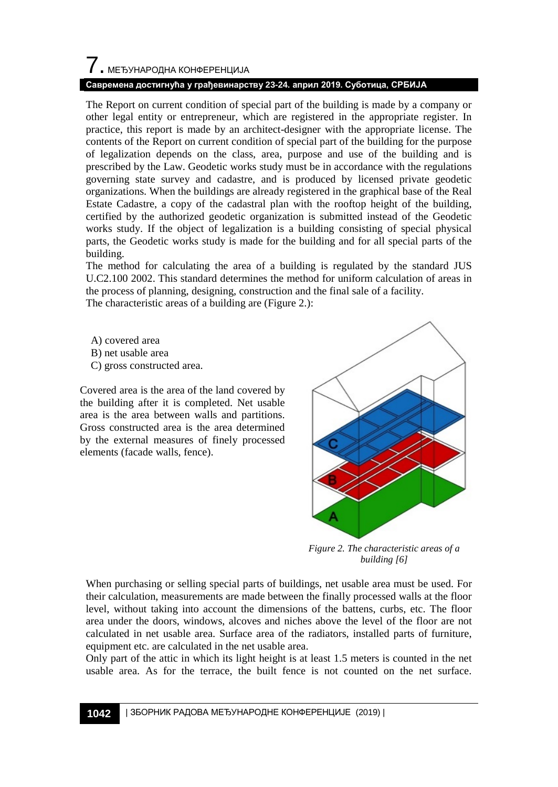## 7. МЕЂУНАРОДНА КОНФЕРЕНЦИЈА

### **Савремена достигнућа у грађевинарству 23-24. април 2019. Суботица, СРБИЈА**

The Report on current condition of special part of the building is made by a company or other legal entity or entrepreneur, which are registered in the appropriate register. In practice, this report is made by an architect-designer with the appropriate license. The contents of the Report on current condition of special part of the building for the purpose of legalization depends on the class, area, purpose and use of the building and is prescribed by the Law. Geodetic works study must be in accordance with the regulations governing state survey and cadastre, and is produced by licensed private geodetic organizations. When the buildings are already registered in the graphical base of the Real Estate Cadastre, a copy of the cadastral plan with the rooftop height of the building, certified by the authorized geodetic organization is submitted instead of the Geodetic works study. If the object of legalization is a building consisting of special physical parts, the Geodetic works study is made for the building and for all special parts of the building.

The method for calculating the area of a building is regulated by the standard JUS U.C2.100 2002. This standard determines the method for uniform calculation of areas in the process of planning, designing, construction and the final sale of a facility.

The characteristic areas of a building are (Figure 2.):

- A) covered area
- B) net usable area
- C) gross constructed area.

Covered area is the area of the land covered by the building after it is completed. Net usable area is the area between walls and partitions. Gross constructed area is the area determined by the external measures of finely processed elements (facade walls, fence).



*Figure 2. The characteristic areas of a building [6]*

When purchasing or selling special parts of buildings, net usable area must be used. For their calculation, measurements are made between the finally processed walls at the floor level, without taking into account the dimensions of the battens, curbs, etc. The floor area under the doors, windows, alcoves and niches above the level of the floor are not calculated in net usable area. Surface area of the radiators, installed parts of furniture, equipment etc. are calculated in the net usable area.

Only part of the attic in which its light height is at least 1.5 meters is counted in the net usable area. As for the terrace, the built fence is not counted on the net surface.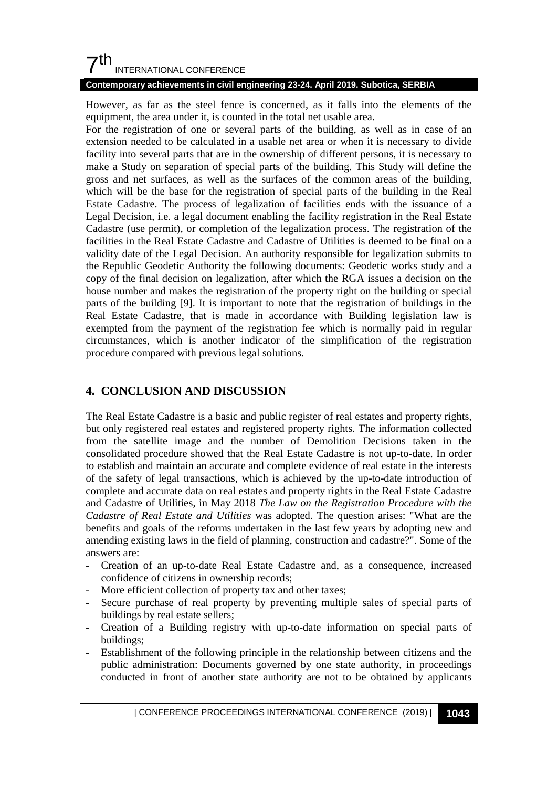#### **Contemporary achievements in civil engineering 23-24. April 2019. Subotica, SERBIA**

However, as far as the steel fence is concerned, as it falls into the elements of the equipment, the area under it, is counted in the total net usable area.

For the registration of one or several parts of the building, as well as in case of an extension needed to be calculated in a usable net area or when it is necessary to divide facility into several parts that are in the ownership of different persons, it is necessary to make a Study on separation of special parts of the building. This Study will define the gross and net surfaces, as well as the surfaces of the common areas of the building, which will be the base for the registration of special parts of the building in the Real Estate Cadastre. The process of legalization of facilities ends with the issuance of a Legal Decision, i.e. a legal document enabling the facility registration in the Real Estate Cadastre (use permit), or completion of the legalization process. The registration of the facilities in the Real Estate Cadastre and Cadastre of Utilities is deemed to be final on a validity date of the Legal Decision. An authority responsible for legalization submits to the Republic Geodetic Authority the following documents: Geodetic works study and a copy of the final decision on legalization, after which the RGA issues a decision on the house number and makes the registration of the property right on the building or special parts of the building [9]. It is important to note that the registration of buildings in the Real Estate Cadastre, that is made in accordance with Building legislation law is exempted from the payment of the registration fee which is normally paid in regular circumstances, which is another indicator of the simplification of the registration procedure compared with previous legal solutions.

## **4. CONCLUSION AND DISCUSSION**

The Real Estate Cadastre is a basic and public register of real estates and property rights, but only registered real estates and registered property rights. The information collected from the satellite image and the number of Demolition Decisions taken in the consolidated procedure showed that the Real Estate Cadastre is not up-to-date. In order to establish and maintain an accurate and complete evidence of real estate in the interests of the safety of legal transactions, which is achieved by the up-to-date introduction of complete and accurate data on real estates and property rights in the Real Estate Cadastre and Cadastre of Utilities, in May 2018 *The Law on the Registration Procedure with the Cadastre of Real Estate and Utilities* was adopted. The question arises: "What are the benefits and goals of the reforms undertaken in the last few years by adopting new and amending existing laws in the field of planning, construction and cadastre?". Some of the answers are:

- Creation of an up-to-date Real Estate Cadastre and, as a consequence, increased confidence of citizens in ownership records;
- More efficient collection of property tax and other taxes;
- Secure purchase of real property by preventing multiple sales of special parts of buildings by real estate sellers;
- Creation of a Building registry with up-to-date information on special parts of buildings;
- Establishment of the following principle in the relationship between citizens and the public administration: Documents governed by one state authority, in proceedings conducted in front of another state authority are not to be obtained by applicants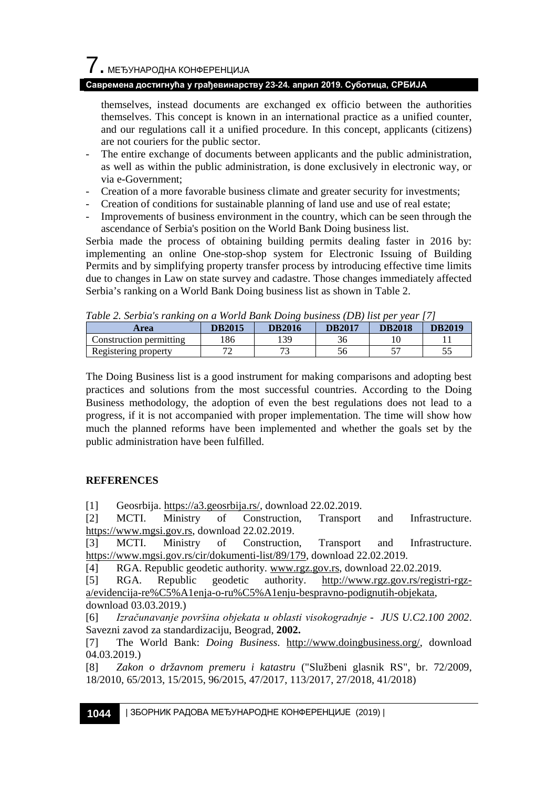#### **Савремена достигнућа у грађевинарству 23-24. април 2019. Суботица, СРБИЈА**

themselves, instead documents are exchanged ex officio between the authorities themselves. This concept is known in an international practice as a unified counter, and our regulations call it a unified procedure. In this concept, applicants (citizens) are not couriers for the public sector.

- The entire exchange of documents between applicants and the public administration, as well as within the public administration, is done exclusively in electronic way, or via e-Government;
- Creation of a more favorable business climate and greater security for investments;
- Creation of conditions for sustainable planning of land use and use of real estate;
- Improvements of business environment in the country, which can be seen through the ascendance of Serbia's position on the World Bank Doing business list.

Serbia made the process of obtaining building permits dealing faster in 2016 by: implementing an online One-stop-shop system for Electronic Issuing of Building Permits and by simplifying property transfer process by introducing effective time limits due to changes in Law on state survey and cadastre. Those changes immediately affected Serbia's ranking on a World Bank Doing business list as shown in Table 2.

| Table 2. Serbia s ranking on a world Bank Doing business (DB) list per year [7] |               |               |               |               |               |  |
|---------------------------------------------------------------------------------|---------------|---------------|---------------|---------------|---------------|--|
| <b>Area</b>                                                                     | <b>DB2015</b> | <b>DB2016</b> | <b>DB2017</b> | <b>DB2018</b> | <b>DB2019</b> |  |
| Construction permitting                                                         | 186           | 139           | 36            |               |               |  |
| Registering property                                                            |               |               | 56            |               |               |  |

*Table 2. Serbia's ranking on a World Bank Doing business (DB) list per year [7]*

The Doing Business list is a good instrument for making comparisons and adopting best practices and solutions from the most successful countries. According to the Doing Business methodology, the adoption of even the best regulations does not lead to a progress, if it is not accompanied with proper implementation. The time will show how much the planned reforms have been implemented and whether the goals set by the public administration have been fulfilled.

### **REFERENCES**

[1] Geosrbija[. https://a3.geosrbija.rs/,](https://a3.geosrbija.rs/) download 22.02.2019.

[2] MCTI. Ministry of Construction, Transport and Infrastructure. [https://www.mgsi.gov.rs,](https://www.mgsi.gov.rs/) download 22.02.2019.

[3] MCTI. Ministry of Construction, Transport and Infrastructure. [https://www.mgsi.gov.rs/cir/dokumenti-list/89/179,](https://www.mgsi.gov.rs/cir/dokumenti-list/89/179) download 22.02.2019.

[4] RGA. Republic geodetic authority. [www.rgz.gov.rs,](http://www.rgz.gov.rs/) download 22.02.2019.

[5] RGA. Republic geodetic authority. [http://www.rgz.gov.rs/registri-rgz](http://www.rgz.gov.rs/registri-rgz-a/evidencija-re%C5%A1enja-o-ru%C5%A1enju-bespravno-podignutih-objekata)[a/evidencija-re%C5%A1enja-o-ru%C5%A1enju-bespravno-podignutih-objekata,](http://www.rgz.gov.rs/registri-rgz-a/evidencija-re%C5%A1enja-o-ru%C5%A1enju-bespravno-podignutih-objekata) download 03.03.2019.)

[6] *Izračunavanje površina objekata u oblasti visokogradnje - JUS U.C2.100 2002*. Savezni zavod za standardizaciju, Beograd, **2002.**

[7] The World Bank: *Doing Business*. [http://www.doingbusiness.org/,](http://www.doingbusiness.org/) download 04.03.2019.)

[8] *Zakon o državnom premeru i katastru* ("Službeni glasnik RS", br. 72/2009, 18/2010, 65/2013, 15/2015, 96/2015, 47/2017, 113/2017, 27/2018, 41/2018)